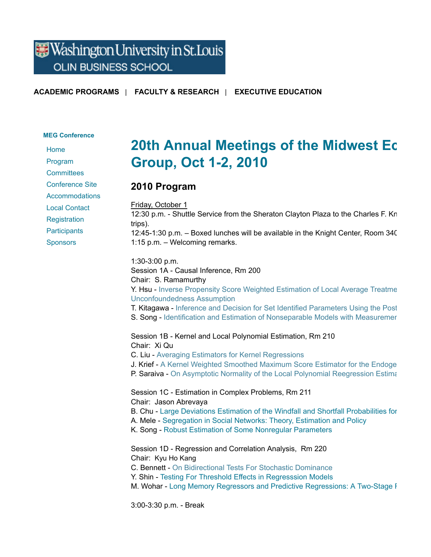## Washington University in St. Louis **OLIN BUSINESS SCHOOL**

**ACADEMIC PROGRAMS** | **FACULTY & RESEARCH** | **EXECUTIVE EDUCATION**

#### **MEG Conference**

Home

Program **Committees** 

Conference Site

**Accommodations** 

Local Contact

**Registration** 

**Participants** 

Sponsors

# **20th Annual Meetings of the Midwest Ec Group, Oct 1-2, 2010**

### **2010 Program**

Friday, October 1 12:30 p.m. - Shuttle Service from the Sheraton Clayton Plaza to the Charles F. Kn trips). 12:45-1:30 p.m. – Boxed lunches will be available in the Knight Center, Room 340. 1:15 p.m. – Welcoming remarks.

1:30-3:00 p.m. Session 1A - Causal Inference, Rm 200 Chair: S. Ramamurthy Y. Hsu - Inverse Propensity Score Weighted Estimation of Local Average Treatme Unconfoundedness Assumption T. Kitagawa - Inference and Decision for Set Identified Parameters Using the Post S. Song - Identification and Estimation of Nonseparable Models with Measuremer Session 1B - Kernel and Local Polynomial Estimation, Rm 210 Chair: Xi Qu C. Liu - Averaging Estimators for Kernel Regressions J. Krief - A Kernel Weighted Smoothed Maximum Score Estimator for the Endoge P. Saraiva - On Asymptotic Normality of the Local Polynomial Reegression Estimation Session 1C - Estimation in Complex Problems, Rm 211 Chair: Jason Abrevaya B. Chu - Large Deviations Estimation of the Windfall and Shortfall Probabilities for A. Mele - Segregation in Social Networks: Theory, Estimation and Policy K. Song - Robust Estimation of Some Nonregular Parameters Session 1D - Regression and Correlation Analysis, Rm 220 Chair: Kyu Ho Kang C. Bennett - On Bidirectional Tests For Stochastic Dominance Y. Shin - Testing For Threshold Effects in Regresssion Models M. Wohar - Long Memory Regressors and Predictive Regressions: A Two-Stage F

3:00-3:30 p.m. - Break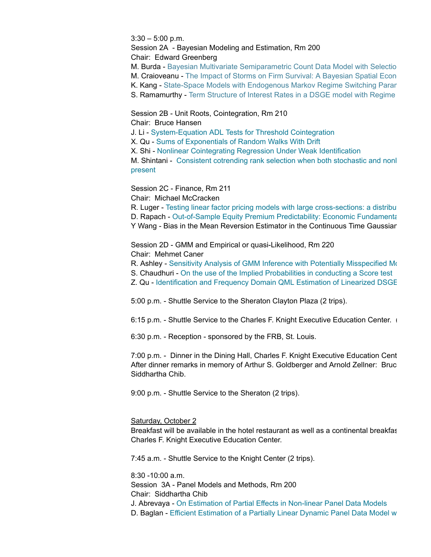$3:30 - 5:00$  p.m.

Session 2A - Bayesian Modeling and Estimation, Rm 200

Chair: Edward Greenberg

M. Burda - Bayesian Multivariate Semiparametric Count Data Model with Selectio M. Craioveanu - The Impact of Storms on Firm Survival: A Bayesian Spatial Econom K. Kang - State-Space Models with Endogenous Markov Regime Switching Paran S. Ramamurthy - Term Structure of Interest Rates in a DSGE model with Regime

Session 2B - Unit Roots, Cointegration, Rm 210

Chair: Bruce Hansen

J. Li - System-Equation ADL Tests for Threshold Cointegration

X. Qu - Sums of Exponentials of Random Walks With Drift

X. Shi - Nonlinear Cointegrating Regression Under Weak Identification

M. Shintani - Consistent cotrending rank selection when both stochastic and nonl present

Session 2C - Finance, Rm 211

Chair: Michael McCracken

R. Luger - Testing linear factor pricing models with large cross-sections: a distribution-D. Rapach - Out-of-Sample Equity Premium Predictability: Economic Fundamental Y Wang - Bias in the Mean Reversion Estimator in the Continuous Time Gaussian

Session 2D - GMM and Empirical or quasi-Likelihood, Rm 220 Chair: Mehmet Caner

R. Ashley - Sensitivity Analysis of GMM Inference with Potentially Misspecified Mo

S. Chaudhuri - On the use of the Implied Probabilities in conducting a Score test

Z. Qu - Identification and Frequency Domain QML Estimation of Linearized DSGE

5:00 p.m. - Shuttle Service to the Sheraton Clayton Plaza (2 trips).

6:15 p.m. - Shuttle Service to the Charles F. Knight Executive Education Center.

6:30 p.m. - Reception - sponsored by the FRB, St. Louis.

7:00 p.m. - Dinner in the Dining Hall, Charles F. Knight Executive Education Cent After dinner remarks in memory of Arthur S. Goldberger and Arnold Zellner: Bruc Siddhartha Chib.

9:00 p.m. - Shuttle Service to the Sheraton (2 trips).

### Saturday, October 2

Breakfast will be available in the hotel restaurant as well as a continental breakfas Charles F. Knight Executive Education Center.

7:45 a.m. - Shuttle Service to the Knight Center (2 trips).

8:30 -10:00 a.m.

Session 3A - Panel Models and Methods, Rm 200

Chair: Siddhartha Chib

J. Abrevaya - On Estimation of Partial Effects in Non-linear Panel Data Models

D. Baglan - Efficient Estimation of a Partially Linear Dynamic Panel Data Model w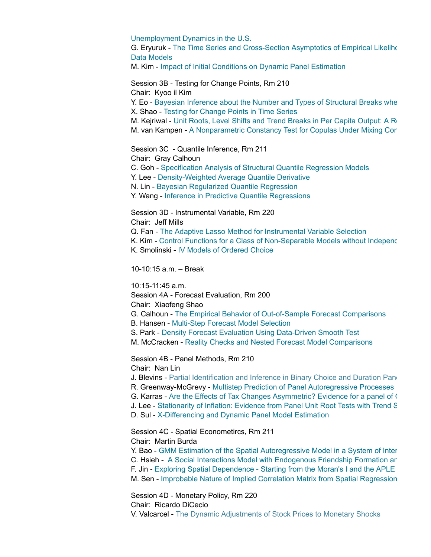Unemployment Dynamics in the U.S.

G. Eryuruk - The Time Series and Cross-Section Asymptotics of Empirical Likeliho Data Models

M. Kim - Impact of Initial Conditions on Dynamic Panel Estimation

Session 3B - Testing for Change Points, Rm 210

Chair: Kyoo il Kim

Y. Eo - Bayesian Inference about the Number and Types of Structural Breaks when X. Shao - Testing for Change Points in Time Series

M. Kejriwal - Unit Roots, Level Shifts and Trend Breaks in Per Capita Output: A Robust Evaluation

M. van Kampen - A Nonparametric Constancy Test for Copulas Under Mixing Cor

Session 3C - Quantile Inference, Rm 211

Chair: Gray Calhoun

C. Goh - Specification Analysis of Structural Quantile Regression Models

Y. Lee - Density-Weighted Average Quantile Derivative

N. Lin - Bayesian Regularized Quantile Regression

Y. Wang - Inference in Predictive Quantile Regressions

Session 3D - Instrumental Variable, Rm 220

Chair: Jeff Mills

Q. Fan - The Adaptive Lasso Method for Instrumental Variable Selection

K. Kim - Control Functions for a Class of Non-Separable Models without Independence

K. Smolinski - IV Models of Ordered Choice

10-10:15 a.m. – Break

10:15-11:45 a.m.

Session 4A - Forecast Evaluation, Rm 200

Chair: Xiaofeng Shao

G. Calhoun - The Empirical Behavior of Out-of-Sample Forecast Comparisons

- B. Hansen Multi-Step Forecast Model Selection
- S. Park Density Forecast Evaluation Using Data-Driven Smooth Test
- M. McCracken Reality Checks and Nested Forecast Model Comparisons

Session 4B - Panel Methods, Rm 210

Chair: Nan Lin

J. Blevins - Partial Identification and Inference in Binary Choice and Duration Panel

R. Greenway-McGrevy - Multistep Prediction of Panel Autoregressive Processes

G. Karras - Are the Effects of Tax Changes Asymmetric? Evidence for a panel of O

J. Lee - Stationarity of Inflation: Evidence from Panel Unit Root Tests with Trend S

D. Sul - X-Differencing and Dynamic Panel Model Estimation

Session 4C - Spatial Econometircs, Rm 211

Chair: Martin Burda

Y. Bao - GMM Estimation of the Spatial Autoregressive Model in a System of Inter

C. Hsieh - A Social Interactions Model with Endogenous Friendship Formation ard

F. Jin - Exploring Spatial Dependence - Starting from the Moran's I and the APLE

M. Sen - Improbable Nature of Implied Correlation Matrix from Spatial Regression

Session 4D - Monetary Policy, Rm 220

Chair: Ricardo DiCecio

V. Valcarcel - The Dynamic Adjustments of Stock Prices to Monetary Shocks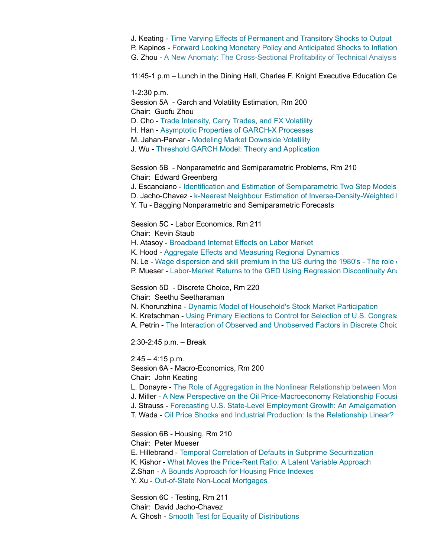J. Keating - Time Varying Effects of Permanent and Transitory Shocks to Output P. Kapinos - Forward Looking Monetary Policy and Anticipated Shocks to Inflation G. Zhou - A New Anomaly: The Cross-Sectional Profitability of Technical Analysis

11:45-1 p.m – Lunch in the Dining Hall, Charles F. Knight Executive Education Center

1-2:30 p.m. Session 5A - Garch and Volatility Estimation, Rm 200 Chair: Guofu Zhou D. Cho - Trade Intensity, Carry Trades, and FX Volatility H. Han - Asymptotic Properties of GARCH-X Processes M. Jahan-Parvar - Modeling Market Downside Volatility J. Wu - Threshold GARCH Model: Theory and Application

Session 5B - Nonparametric and Semiparametric Problems, Rm 210 Chair: Edward Greenberg

J. Escanciano - Identification and Estimation of Semiparametric Two Step Models

D. Jacho-Chavez - k-Nearest Neighbour Estimation of Inverse-Density-Weighted |

Y. Tu - Bagging Nonparametric and Semiparametric Forecasts

Session 5C - Labor Economics, Rm 211

Chair: Kevin Staub

H. Atasoy - Broadband Internet Effects on Labor Market

K. Hood - Aggregate Effects and Measuring Regional Dynamics

N. Le - Wage dispersion and skill premium in the US during the 1980's - The role  $\epsilon$ 

P. Mueser - Labor-Market Returns to the GED Using Regression Discontinuity Ana

Session 5D - Discrete Choice, Rm 220

Chair: Seethu Seetharaman

N. Khorunzhina - Dynamic Model of Household's Stock Market Participation

K. Kretschman - Using Primary Elections to Control for Selection of U.S. Congressional Canadates

A. Petrin - The Interaction of Observed and Unobserved Factors in Discrete Choic

2:30-2:45 p.m. – Break

 $2:45 - 4:15$  p.m. Session 6A - Macro-Economics, Rm 200 Chair: John Keating

L. Donayre - The Role of Aggregation in the Nonlinear Relationship between Mon

J. Miller - A New Perspective on the Oil Price-Macroeconomy Relationship Focusing

J. Strauss - Forecasting U.S. State-Level Employment Growth: An Amalgamation

T. Wada - Oil Price Shocks and Industrial Production: Is the Relationship Linear?

Session 6B - Housing, Rm 210 Chair: Peter Mueser E. Hillebrand - Temporal Correlation of Defaults in Subprime Securitization K. Kishor - What Moves the Price-Rent Ratio: A Latent Variable Approach Z.Shan - A Bounds Approach for Housing Price Indexes Y. Xu - Out-of-State Non-Local Mortgages

Session 6C - Testing, Rm 211 Chair: David Jacho-Chavez A. Ghosh - Smooth Test for Equality of Distributions